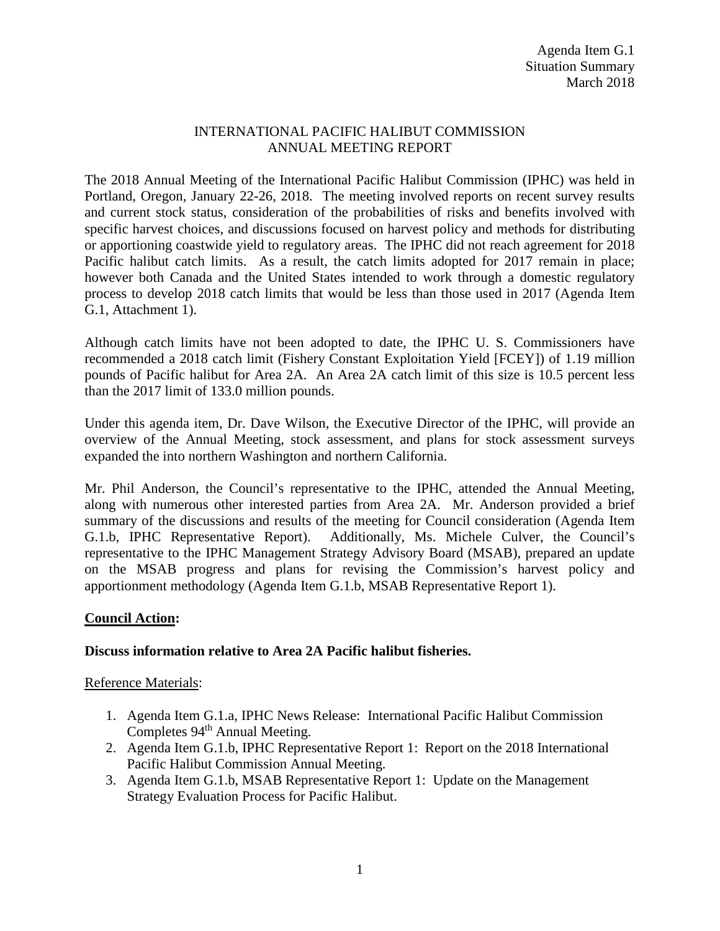## INTERNATIONAL PACIFIC HALIBUT COMMISSION ANNUAL MEETING REPORT

The 2018 Annual Meeting of the International Pacific Halibut Commission (IPHC) was held in Portland, Oregon, January 22-26, 2018. The meeting involved reports on recent survey results and current stock status, consideration of the probabilities of risks and benefits involved with specific harvest choices, and discussions focused on harvest policy and methods for distributing or apportioning coastwide yield to regulatory areas. The IPHC did not reach agreement for 2018 Pacific halibut catch limits. As a result, the catch limits adopted for 2017 remain in place; however both Canada and the United States intended to work through a domestic regulatory process to develop 2018 catch limits that would be less than those used in 2017 (Agenda Item G.1, Attachment 1).

Although catch limits have not been adopted to date, the IPHC U. S. Commissioners have recommended a 2018 catch limit (Fishery Constant Exploitation Yield [FCEY]) of 1.19 million pounds of Pacific halibut for Area 2A. An Area 2A catch limit of this size is 10.5 percent less than the 2017 limit of 133.0 million pounds.

Under this agenda item, Dr. Dave Wilson, the Executive Director of the IPHC, will provide an overview of the Annual Meeting, stock assessment, and plans for stock assessment surveys expanded the into northern Washington and northern California.

Mr. Phil Anderson, the Council's representative to the IPHC, attended the Annual Meeting, along with numerous other interested parties from Area 2A. Mr. Anderson provided a brief summary of the discussions and results of the meeting for Council consideration (Agenda Item G.1.b, IPHC Representative Report). Additionally, Ms. Michele Culver, the Council's representative to the IPHC Management Strategy Advisory Board (MSAB), prepared an update on the MSAB progress and plans for revising the Commission's harvest policy and apportionment methodology (Agenda Item G.1.b, MSAB Representative Report 1).

## **Council Action:**

## **Discuss information relative to Area 2A Pacific halibut fisheries.**

Reference Materials:

- 1. Agenda Item G.1.a, IPHC News Release: International Pacific Halibut Commission Completes 94<sup>th</sup> Annual Meeting.
- 2. Agenda Item G.1.b, IPHC Representative Report 1: Report on the 2018 International Pacific Halibut Commission Annual Meeting.
- 3. Agenda Item G.1.b, MSAB Representative Report 1: Update on the Management Strategy Evaluation Process for Pacific Halibut.